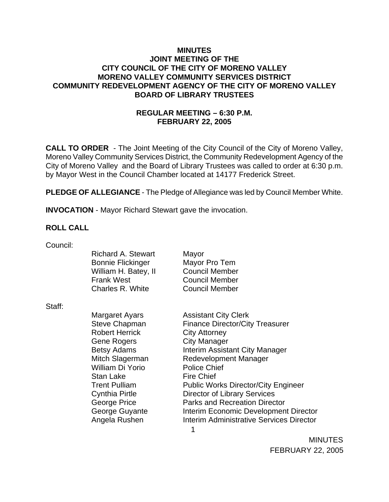### **MINUTES JOINT MEETING OF THE CITY COUNCIL OF THE CITY OF MORENO VALLEY MORENO VALLEY COMMUNITY SERVICES DISTRICT COMMUNITY REDEVELOPMENT AGENCY OF THE CITY OF MORENO VALLEY BOARD OF LIBRARY TRUSTEES**

# **REGULAR MEETING – 6:30 P.M. FEBRUARY 22, 2005**

**CALL TO ORDER** - The Joint Meeting of the City Council of the City of Moreno Valley, Moreno Valley Community Services District, the Community Redevelopment Agency of the City of Moreno Valley and the Board of Library Trustees was called to order at 6:30 p.m. by Mayor West in the Council Chamber located at 14177 Frederick Street.

**PLEDGE OF ALLEGIANCE** - The Pledge of Allegiance was led by Council Member White.

**INVOCATION** - Mayor Richard Stewart gave the invocation.

#### **ROLL CALL**

| Council: |                           |                                            |
|----------|---------------------------|--------------------------------------------|
|          | <b>Richard A. Stewart</b> | Mayor                                      |
|          | <b>Bonnie Flickinger</b>  | Mayor Pro Tem                              |
|          | William H. Batey, II      | <b>Council Member</b>                      |
|          | <b>Frank West</b>         | <b>Council Member</b>                      |
|          | Charles R. White          | <b>Council Member</b>                      |
| Staff:   |                           |                                            |
|          | Margaret Ayars            | <b>Assistant City Clerk</b>                |
|          | <b>Steve Chapman</b>      | <b>Finance Director/City Treasurer</b>     |
|          | <b>Robert Herrick</b>     | <b>City Attorney</b>                       |
|          | Gene Rogers               | <b>City Manager</b>                        |
|          | <b>Betsy Adams</b>        | Interim Assistant City Manager             |
|          | Mitch Slagerman           | <b>Redevelopment Manager</b>               |
|          | William Di Yorio          | <b>Police Chief</b>                        |
|          | Stan Lake                 | <b>Fire Chief</b>                          |
|          | <b>Trent Pulliam</b>      | <b>Public Works Director/City Engineer</b> |
|          | Cynthia Pirtle            | <b>Director of Library Services</b>        |
|          | George Price              | <b>Parks and Recreation Director</b>       |
|          | George Guyante            | Interim Economic Development Director      |
|          | Angela Rushen             | Interim Administrative Services Director   |
|          |                           | 1                                          |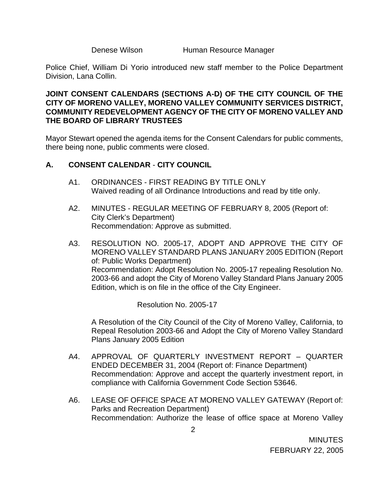Denese Wilson **Human Resource Manager** 

Police Chief, William Di Yorio introduced new staff member to the Police Department Division, Lana Collin.

# **JOINT CONSENT CALENDARS (SECTIONS A-D) OF THE CITY COUNCIL OF THE CITY OF MORENO VALLEY, MORENO VALLEY COMMUNITY SERVICES DISTRICT, COMMUNITY REDEVELOPMENT AGENCY OF THE CITY OF MORENO VALLEY AND THE BOARD OF LIBRARY TRUSTEES**

Mayor Stewart opened the agenda items for the Consent Calendars for public comments, there being none, public comments were closed.

# **A. CONSENT CALENDAR** - **CITY COUNCIL**

- A1. ORDINANCES FIRST READING BY TITLE ONLY Waived reading of all Ordinance Introductions and read by title only.
- A2. MINUTES REGULAR MEETING OF FEBRUARY 8, 2005 (Report of: City Clerk's Department) Recommendation: Approve as submitted.
- A3. RESOLUTION NO. 2005-17, ADOPT AND APPROVE THE CITY OF MORENO VALLEY STANDARD PLANS JANUARY 2005 EDITION (Report of: Public Works Department) Recommendation: Adopt Resolution No. 2005-17 repealing Resolution No. 2003-66 and adopt the City of Moreno Valley Standard Plans January 2005 Edition, which is on file in the office of the City Engineer.

Resolution No. 2005-17

A Resolution of the City Council of the City of Moreno Valley, California, to Repeal Resolution 2003-66 and Adopt the City of Moreno Valley Standard Plans January 2005 Edition

- A4. APPROVAL OF QUARTERLY INVESTMENT REPORT QUARTER ENDED DECEMBER 31, 2004 (Report of: Finance Department) Recommendation: Approve and accept the quarterly investment report, in compliance with California Government Code Section 53646.
- A6. LEASE OF OFFICE SPACE AT MORENO VALLEY GATEWAY (Report of: Parks and Recreation Department) Recommendation: Authorize the lease of office space at Moreno Valley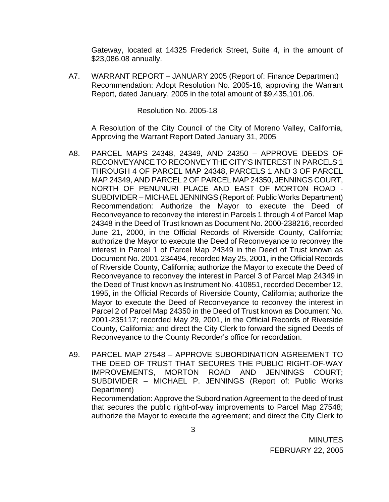Gateway, located at 14325 Frederick Street, Suite 4, in the amount of \$23,086.08 annually.

A7. WARRANT REPORT – JANUARY 2005 (Report of: Finance Department) Recommendation: Adopt Resolution No. 2005-18, approving the Warrant Report, dated January, 2005 in the total amount of \$9,435,101.06.

#### Resolution No. 2005-18

A Resolution of the City Council of the City of Moreno Valley, California, Approving the Warrant Report Dated January 31, 2005

- A8. PARCEL MAPS 24348, 24349, AND 24350 APPROVE DEEDS OF RECONVEYANCE TO RECONVEY THE CITY'S INTEREST IN PARCELS 1 THROUGH 4 OF PARCEL MAP 24348, PARCELS 1 AND 3 OF PARCEL MAP 24349, AND PARCEL 2 OF PARCEL MAP 24350, JENNINGS COURT, NORTH OF PENUNURI PLACE AND EAST OF MORTON ROAD - SUBDIVIDER – MICHAEL JENNINGS (Report of: Public Works Department) Recommendation: Authorize the Mayor to execute the Deed of Reconveyance to reconvey the interest in Parcels 1 through 4 of Parcel Map 24348 in the Deed of Trust known as Document No. 2000-238216, recorded June 21, 2000, in the Official Records of Riverside County, California; authorize the Mayor to execute the Deed of Reconveyance to reconvey the interest in Parcel 1 of Parcel Map 24349 in the Deed of Trust known as Document No. 2001-234494, recorded May 25, 2001, in the Official Records of Riverside County, California; authorize the Mayor to execute the Deed of Reconveyance to reconvey the interest in Parcel 3 of Parcel Map 24349 in the Deed of Trust known as Instrument No. 410851, recorded December 12, 1995, in the Official Records of Riverside County, California; authorize the Mayor to execute the Deed of Reconveyance to reconvey the interest in Parcel 2 of Parcel Map 24350 in the Deed of Trust known as Document No. 2001-235117; recorded May 29, 2001, in the Official Records of Riverside County, California; and direct the City Clerk to forward the signed Deeds of Reconveyance to the County Recorder's office for recordation.
- A9. PARCEL MAP 27548 APPROVE SUBORDINATION AGREEMENT TO THE DEED OF TRUST THAT SECURES THE PUBLIC RIGHT-OF-WAY IMPROVEMENTS, MORTON ROAD AND JENNINGS COURT; SUBDIVIDER – MICHAEL P. JENNINGS (Report of: Public Works Department) Recommendation: Approve the Subordination Agreement to the deed of trust

that secures the public right-of-way improvements to Parcel Map 27548; authorize the Mayor to execute the agreement; and direct the City Clerk to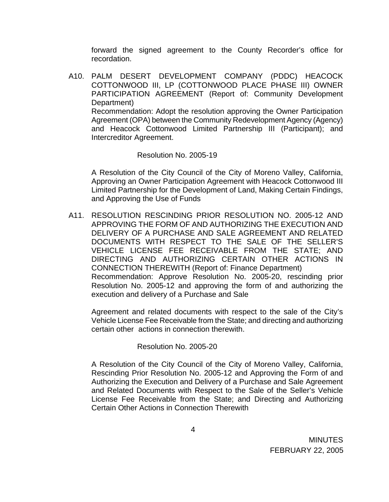forward the signed agreement to the County Recorder's office for recordation.

A10. PALM DESERT DEVELOPMENT COMPANY (PDDC) HEACOCK COTTONWOOD III, LP (COTTONWOOD PLACE PHASE III) OWNER PARTICIPATION AGREEMENT (Report of: Community Development Department) Recommendation: Adopt the resolution approving the Owner Participation Agreement (OPA) between the Community Redevelopment Agency (Agency) and Heacock Cottonwood Limited Partnership III (Participant); and Intercreditor Agreement.

Resolution No. 2005-19

A Resolution of the City Council of the City of Moreno Valley, California, Approving an Owner Participation Agreement with Heacock Cottonwood III Limited Partnership for the Development of Land, Making Certain Findings, and Approving the Use of Funds

A11. RESOLUTION RESCINDING PRIOR RESOLUTION NO. 2005-12 AND APPROVING THE FORM OF AND AUTHORIZING THE EXECUTION AND DELIVERY OF A PURCHASE AND SALE AGREEMENT AND RELATED DOCUMENTS WITH RESPECT TO THE SALE OF THE SELLER'S VEHICLE LICENSE FEE RECEIVABLE FROM THE STATE; AND DIRECTING AND AUTHORIZING CERTAIN OTHER ACTIONS IN CONNECTION THEREWITH (Report of: Finance Department) Recommendation: Approve Resolution No. 2005-20, rescinding prior Resolution No. 2005-12 and approving the form of and authorizing the execution and delivery of a Purchase and Sale

Agreement and related documents with respect to the sale of the City's Vehicle License Fee Receivable from the State; and directing and authorizing certain other actions in connection therewith.

#### Resolution No. 2005-20

A Resolution of the City Council of the City of Moreno Valley, California, Rescinding Prior Resolution No. 2005-12 and Approving the Form of and Authorizing the Execution and Delivery of a Purchase and Sale Agreement and Related Documents with Respect to the Sale of the Seller's Vehicle License Fee Receivable from the State; and Directing and Authorizing Certain Other Actions in Connection Therewith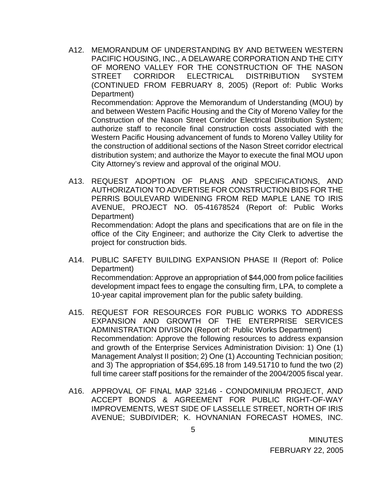A12. MEMORANDUM OF UNDERSTANDING BY AND BETWEEN WESTERN PACIFIC HOUSING, INC., A DELAWARE CORPORATION AND THE CITY OF MORENO VALLEY FOR THE CONSTRUCTION OF THE NASON STREET CORRIDOR ELECTRICAL DISTRIBUTION SYSTEM (CONTINUED FROM FEBRUARY 8, 2005) (Report of: Public Works Department)

Recommendation: Approve the Memorandum of Understanding (MOU) by and between Western Pacific Housing and the City of Moreno Valley for the Construction of the Nason Street Corridor Electrical Distribution System; authorize staff to reconcile final construction costs associated with the Western Pacific Housing advancement of funds to Moreno Valley Utility for the construction of additional sections of the Nason Street corridor electrical distribution system; and authorize the Mayor to execute the final MOU upon City Attorney's review and approval of the original MOU.

A13. REQUEST ADOPTION OF PLANS AND SPECIFICATIONS, AND AUTHORIZATION TO ADVERTISE FOR CONSTRUCTION BIDS FOR THE PERRIS BOULEVARD WIDENING FROM RED MAPLE LANE TO IRIS AVENUE, PROJECT NO. 05-41678524 (Report of: Public Works Department) Recommendation: Adopt the plans and specifications that are on file in the

office of the City Engineer; and authorize the City Clerk to advertise the project for construction bids.

- A14. PUBLIC SAFETY BUILDING EXPANSION PHASE II (Report of: Police Department) Recommendation: Approve an appropriation of \$44,000 from police facilities development impact fees to engage the consulting firm, LPA, to complete a 10-year capital improvement plan for the public safety building.
- A15. REQUEST FOR RESOURCES FOR PUBLIC WORKS TO ADDRESS EXPANSION AND GROWTH OF THE ENTERPRISE SERVICES ADMINISTRATION DIVISION (Report of: Public Works Department) Recommendation: Approve the following resources to address expansion and growth of the Enterprise Services Administration Division: 1) One (1) Management Analyst II position; 2) One (1) Accounting Technician position; and 3) The appropriation of \$54,695.18 from 149.51710 to fund the two (2) full time career staff positions for the remainder of the 2004/2005 fiscal year.
- A16. APPROVAL OF FINAL MAP 32146 CONDOMINIUM PROJECT, AND ACCEPT BONDS & AGREEMENT FOR PUBLIC RIGHT-OF-WAY IMPROVEMENTS, WEST SIDE OF LASSELLE STREET, NORTH OF IRIS AVENUE; SUBDIVIDER; K. HOVNANIAN FORECAST HOMES, INC.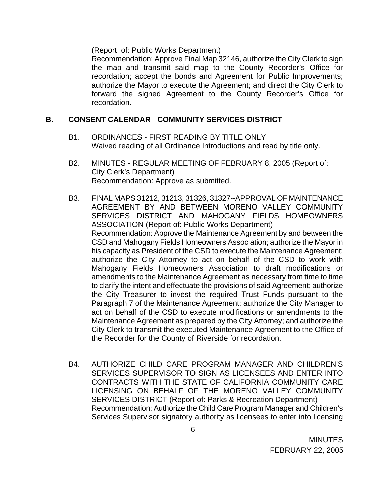(Report of: Public Works Department)

Recommendation: Approve Final Map 32146, authorize the City Clerk to sign the map and transmit said map to the County Recorder's Office for recordation; accept the bonds and Agreement for Public Improvements; authorize the Mayor to execute the Agreement; and direct the City Clerk to forward the signed Agreement to the County Recorder's Office for recordation.

# **B. CONSENT CALENDAR** - **COMMUNITY SERVICES DISTRICT**

- B1. ORDINANCES FIRST READING BY TITLE ONLY Waived reading of all Ordinance Introductions and read by title only.
- B2. MINUTES REGULAR MEETING OF FEBRUARY 8, 2005 (Report of: City Clerk's Department) Recommendation: Approve as submitted.
- B3. FINAL MAPS 31212, 31213, 31326, 31327--APPROVAL OF MAINTENANCE AGREEMENT BY AND BETWEEN MORENO VALLEY COMMUNITY SERVICES DISTRICT AND MAHOGANY FIELDS HOMEOWNERS ASSOCIATION (Report of: Public Works Department) Recommendation: Approve the Maintenance Agreement by and between the CSD and Mahogany Fields Homeowners Association; authorize the Mayor in his capacity as President of the CSD to execute the Maintenance Agreement; authorize the City Attorney to act on behalf of the CSD to work with Mahogany Fields Homeowners Association to draft modifications or amendments to the Maintenance Agreement as necessary from time to time to clarify the intent and effectuate the provisions of said Agreement; authorize the City Treasurer to invest the required Trust Funds pursuant to the Paragraph 7 of the Maintenance Agreement; authorize the City Manager to act on behalf of the CSD to execute modifications or amendments to the Maintenance Agreement as prepared by the City Attorney; and authorize the City Clerk to transmit the executed Maintenance Agreement to the Office of the Recorder for the County of Riverside for recordation.
- B4. AUTHORIZE CHILD CARE PROGRAM MANAGER AND CHILDREN'S SERVICES SUPERVISOR TO SIGN AS LICENSEES AND ENTER INTO CONTRACTS WITH THE STATE OF CALIFORNIA COMMUNITY CARE LICENSING ON BEHALF OF THE MORENO VALLEY COMMUNITY SERVICES DISTRICT (Report of: Parks & Recreation Department) Recommendation: Authorize the Child Care Program Manager and Children's Services Supervisor signatory authority as licensees to enter into licensing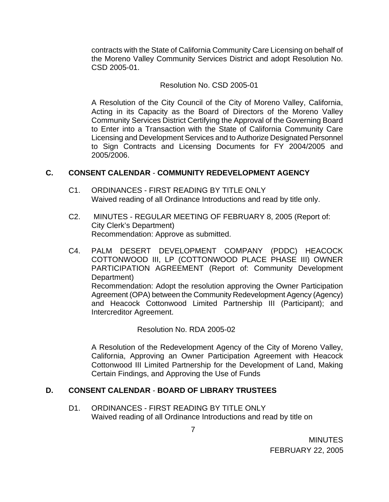contracts with the State of California Community Care Licensing on behalf of the Moreno Valley Community Services District and adopt Resolution No. CSD 2005-01.

### Resolution No. CSD 2005-01

A Resolution of the City Council of the City of Moreno Valley, California, Acting in its Capacity as the Board of Directors of the Moreno Valley Community Services District Certifying the Approval of the Governing Board to Enter into a Transaction with the State of California Community Care Licensing and Development Services and to Authorize Designated Personnel to Sign Contracts and Licensing Documents for FY 2004/2005 and 2005/2006.

#### **C. CONSENT CALENDAR** - **COMMUNITY REDEVELOPMENT AGENCY**

- C1. ORDINANCES FIRST READING BY TITLE ONLY Waived reading of all Ordinance Introductions and read by title only.
- C2. MINUTES REGULAR MEETING OF FEBRUARY 8, 2005 (Report of: City Clerk's Department) Recommendation: Approve as submitted.
- C4. PALM DESERT DEVELOPMENT COMPANY (PDDC) HEACOCK COTTONWOOD III, LP (COTTONWOOD PLACE PHASE III) OWNER PARTICIPATION AGREEMENT (Report of: Community Development Department) Recommendation: Adopt the resolution approving the Owner Participation Agreement (OPA) between the Community Redevelopment Agency (Agency) and Heacock Cottonwood Limited Partnership III (Participant); and Intercreditor Agreement.

Resolution No. RDA 2005-02

A Resolution of the Redevelopment Agency of the City of Moreno Valley, California, Approving an Owner Participation Agreement with Heacock Cottonwood III Limited Partnership for the Development of Land, Making Certain Findings, and Approving the Use of Funds

# **D. CONSENT CALENDAR** - **BOARD OF LIBRARY TRUSTEES**

7

D1. ORDINANCES - FIRST READING BY TITLE ONLY Waived reading of all Ordinance Introductions and read by title on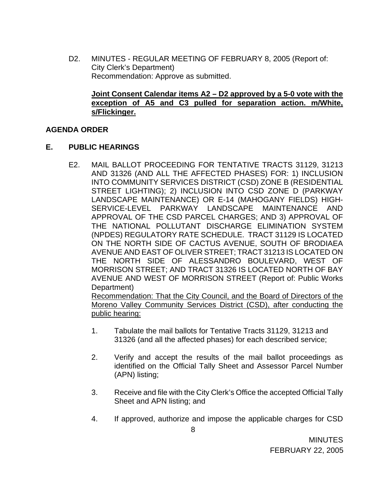D2. MINUTES - REGULAR MEETING OF FEBRUARY 8, 2005 (Report of: City Clerk's Department) Recommendation: Approve as submitted.

# **Joint Consent Calendar items A2 – D2 approved by a 5-0 vote with the exception of A5 and C3 pulled for separation action. m/White, s/Flickinger.**

# **AGENDA ORDER**

# **E. PUBLIC HEARINGS**

E2. MAIL BALLOT PROCEEDING FOR TENTATIVE TRACTS 31129, 31213 AND 31326 (AND ALL THE AFFECTED PHASES) FOR: 1) INCLUSION INTO COMMUNITY SERVICES DISTRICT (CSD) ZONE B (RESIDENTIAL STREET LIGHTING); 2) INCLUSION INTO CSD ZONE D (PARKWAY LANDSCAPE MAINTENANCE) OR E-14 (MAHOGANY FIELDS) HIGH-SERVICE-LEVEL PARKWAY LANDSCAPE MAINTENANCE AND APPROVAL OF THE CSD PARCEL CHARGES; AND 3) APPROVAL OF THE NATIONAL POLLUTANT DISCHARGE ELIMINATION SYSTEM (NPDES) REGULATORY RATE SCHEDULE. TRACT 31129 IS LOCATED ON THE NORTH SIDE OF CACTUS AVENUE, SOUTH OF BRODIAEA AVENUE AND EAST OF OLIVER STREET; TRACT 31213 IS LOCATED ON THE NORTH SIDE OF ALESSANDRO BOULEVARD, WEST OF MORRISON STREET; AND TRACT 31326 IS LOCATED NORTH OF BAY AVENUE AND WEST OF MORRISON STREET (Report of: Public Works Department) Recommendation: That the City Council, and the Board of Directors of the

Moreno Valley Community Services District (CSD), after conducting the public hearing:

- 1. Tabulate the mail ballots for Tentative Tracts 31129, 31213 and 31326 (and all the affected phases) for each described service;
- 2. Verify and accept the results of the mail ballot proceedings as identified on the Official Tally Sheet and Assessor Parcel Number (APN) listing;
- 3. Receive and file with the City Clerk's Office the accepted Official Tally Sheet and APN listing; and
- 4. If approved, authorize and impose the applicable charges for CSD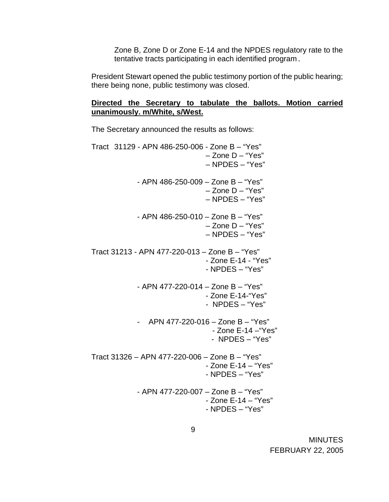Zone B, Zone D or Zone E-14 and the NPDES regulatory rate to the tentative tracts participating in each identified program.

 President Stewart opened the public testimony portion of the public hearing; there being none, public testimony was closed.

# **Directed the Secretary to tabulate the ballots. Motion carried unanimously. m/White, s/West.**

The Secretary announced the results as follows:

| Tract 31129 - APN 486-250-006 - Zone B - "Yes" | $-$ Zone D $-$ "Yes"<br>- NPDES - "Yes" |
|------------------------------------------------|-----------------------------------------|
| - APN 486-250-009 - Zone B - "Yes"             | $-$ Zone D $-$ "Yes"<br>- NPDES - "Yes" |
| - APN 486-250-010 - Zone B - "Yes"             | - Zone D - "Yes"<br>$-$ NPDES $-$ "Yes" |
| Tract 31213 - APN 477-220-013 - Zone B - "Yes" | - Zone E-14 - "Yes"<br>- NPDES - "Yes"  |
| - APN 477-220-014 - Zone B - "Yes"             | - Zone E-14-"Yes"<br>- NPDES - "Yes"    |
| - APN 477-220-016 - Zone B - "Yes"             | - Zone E-14 - "Yes"<br>- NPDES – "Yes"  |
| Tract 31326 - APN 477-220-006 - Zone B - "Yes" | - Zone E-14 - "Yes"<br>- NPDES – "Yes"  |
| - APN 477-220-007 - Zone B - "Yes"             | - Zone E-14 - "Yes"<br>- NPDES - "Yes"  |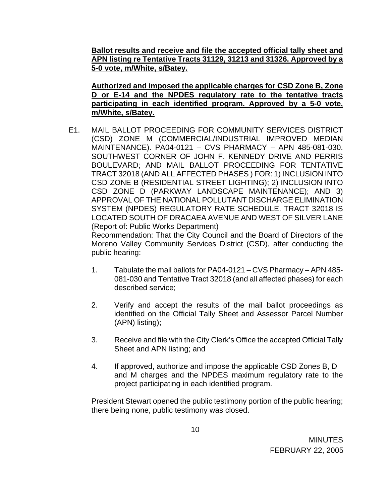**Ballot results and receive and file the accepted official tally sheet and APN listing re Tentative Tracts 31129, 31213 and 31326. Approved by a 5-0 vote, m/White, s/Batey.**

**Authorized and imposed the applicable charges for CSD Zone B, Zone D or E-14 and the NPDES regulatory rate to the tentative tracts participating in each identified program. Approved by a 5-0 vote, m/White, s/Batey.**

E1. MAIL BALLOT PROCEEDING FOR COMMUNITY SERVICES DISTRICT (CSD) ZONE M (COMMERCIAL/INDUSTRIAL IMPROVED MEDIAN MAINTENANCE). PA04-0121 – CVS PHARMACY – APN 485-081-030. SOUTHWEST CORNER OF JOHN F. KENNEDY DRIVE AND PERRIS BOULEVARD; AND MAIL BALLOT PROCEEDING FOR TENTATIVE TRACT 32018 (AND ALL AFFECTED PHASES ) FOR: 1) INCLUSION INTO CSD ZONE B (RESIDENTIAL STREET LIGHTING); 2) INCLUSION INTO CSD ZONE D (PARKWAY LANDSCAPE MAINTENANCE); AND 3) APPROVAL OF THE NATIONAL POLLUTANT DISCHARGE ELIMINATION SYSTEM (NPDES) REGULATORY RATE SCHEDULE. TRACT 32018 IS LOCATED SOUTH OF DRACAEA AVENUE AND WEST OF SILVER LANE (Report of: Public Works Department)

Recommendation: That the City Council and the Board of Directors of the Moreno Valley Community Services District (CSD), after conducting the public hearing:

- 1. Tabulate the mail ballots for PA04-0121 CVS Pharmacy APN 485- 081-030 and Tentative Tract 32018 (and all affected phases) for each described service;
- 2. Verify and accept the results of the mail ballot proceedings as identified on the Official Tally Sheet and Assessor Parcel Number (APN) listing);
- 3. Receive and file with the City Clerk's Office the accepted Official Tally Sheet and APN listing; and
- 4. If approved, authorize and impose the applicable CSD Zones B, D and M charges and the NPDES maximum regulatory rate to the project participating in each identified program.

President Stewart opened the public testimony portion of the public hearing; there being none, public testimony was closed.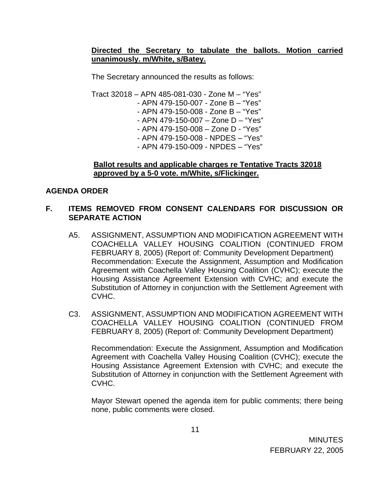# **Directed the Secretary to tabulate the ballots. Motion carried unanimously. m/White, s/Batey.**

The Secretary announced the results as follows:

 Tract 32018 – APN 485-081-030 - Zone M – "Yes" - APN 479-150-007 - Zone B – "Yes" - APN 479-150-008 - Zone B – "Yes" - APN 479-150-007 – Zone D – "Yes" - APN 479-150-008 – Zone D - "Yes" - APN 479-150-008 - NPDES – "Yes" - APN 479-150-009 - NPDES – "Yes"

#### **Ballot results and applicable charges re Tentative Tracts 32018 approved by a 5-0 vote. m/White, s/Flickinger.**

# **AGENDA ORDER**

### **F. ITEMS REMOVED FROM CONSENT CALENDARS FOR DISCUSSION OR SEPARATE ACTION**

- A5. ASSIGNMENT, ASSUMPTION AND MODIFICATION AGREEMENT WITH COACHELLA VALLEY HOUSING COALITION (CONTINUED FROM FEBRUARY 8, 2005) (Report of: Community Development Department) Recommendation: Execute the Assignment, Assumption and Modification Agreement with Coachella Valley Housing Coalition (CVHC); execute the Housing Assistance Agreement Extension with CVHC; and execute the Substitution of Attorney in conjunction with the Settlement Agreement with CVHC.
- C3. ASSIGNMENT, ASSUMPTION AND MODIFICATION AGREEMENT WITH COACHELLA VALLEY HOUSING COALITION (CONTINUED FROM FEBRUARY 8, 2005) (Report of: Community Development Department)

Recommendation: Execute the Assignment, Assumption and Modification Agreement with Coachella Valley Housing Coalition (CVHC); execute the Housing Assistance Agreement Extension with CVHC; and execute the Substitution of Attorney in conjunction with the Settlement Agreement with CVHC.

Mayor Stewart opened the agenda item for public comments; there being none, public comments were closed.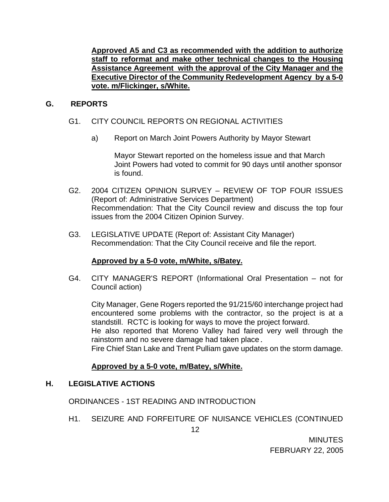**Approved A5 and C3 as recommended with the addition to authorize staff to reformat and make other technical changes to the Housing Assistance Agreement with the approval of the City Manager and the Executive Director of the Community Redevelopment Agency by a 5-0 vote. m/Flickinger, s/White.** 

# **G. REPORTS**

# G1. CITY COUNCIL REPORTS ON REGIONAL ACTIVITIES

a) Report on March Joint Powers Authority by Mayor Stewart

Mayor Stewart reported on the homeless issue and that March Joint Powers had voted to commit for 90 days until another sponsor is found.

- G2. 2004 CITIZEN OPINION SURVEY REVIEW OF TOP FOUR ISSUES (Report of: Administrative Services Department) Recommendation: That the City Council review and discuss the top four issues from the 2004 Citizen Opinion Survey.
- G3. LEGISLATIVE UPDATE (Report of: Assistant City Manager) Recommendation: That the City Council receive and file the report.

#### **Approved by a 5-0 vote, m/White, s/Batey.**

 G4. CITY MANAGER'S REPORT (Informational Oral Presentation – not for Council action)

 City Manager, Gene Rogers reported the 91/215/60 interchange project had encountered some problems with the contractor, so the project is at a standstill. RCTC is looking for ways to move the project forward.

He also reported that Moreno Valley had faired very well through the rainstorm and no severe damage had taken place.

Fire Chief Stan Lake and Trent Pulliam gave updates on the storm damage.

#### **Approved by a 5-0 vote, m/Batey, s/White.**

#### **H. LEGISLATIVE ACTIONS**

ORDINANCES - 1ST READING AND INTRODUCTION

H1. SEIZURE AND FORFEITURE OF NUISANCE VEHICLES (CONTINUED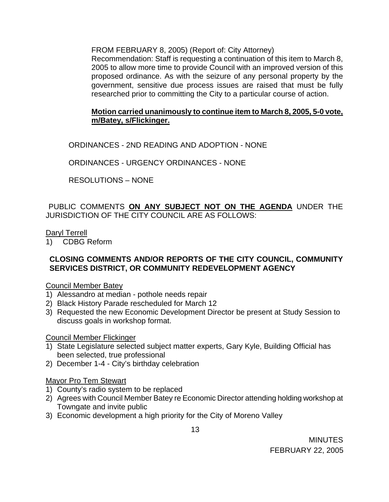FROM FEBRUARY 8, 2005) (Report of: City Attorney)

Recommendation: Staff is requesting a continuation of this item to March 8, 2005 to allow more time to provide Council with an improved version of this proposed ordinance. As with the seizure of any personal property by the government, sensitive due process issues are raised that must be fully researched prior to committing the City to a particular course of action.

# **Motion carried unanimously to continue item to March 8, 2005, 5-0 vote, m/Batey, s/Flickinger.**

ORDINANCES - 2ND READING AND ADOPTION - NONE

ORDINANCES - URGENCY ORDINANCES - NONE

RESOLUTIONS – NONE

PUBLIC COMMENTS **ON ANY SUBJECT NOT ON THE AGENDA** UNDER THE JURISDICTION OF THE CITY COUNCIL ARE AS FOLLOWS:

#### Daryl Terrell

1) CDBG Reform

# **CLOSING COMMENTS AND/OR REPORTS OF THE CITY COUNCIL, COMMUNITY SERVICES DISTRICT, OR COMMUNITY REDEVELOPMENT AGENCY**

#### Council Member Batey

- 1) Alessandro at median pothole needs repair
- 2) Black History Parade rescheduled for March 12
- 3) Requested the new Economic Development Director be present at Study Session to discuss goals in workshop format.

#### Council Member Flickinger

- 1) State Legislature selected subject matter experts, Gary Kyle, Building Official has been selected, true professional
- 2) December 1-4 City's birthday celebration

#### Mayor Pro Tem Stewart

- 1) County's radio system to be replaced
- 2) Agrees with Council Member Batey re Economic Director attending holding workshop at Towngate and invite public
- 3) Economic development a high priority for the City of Moreno Valley